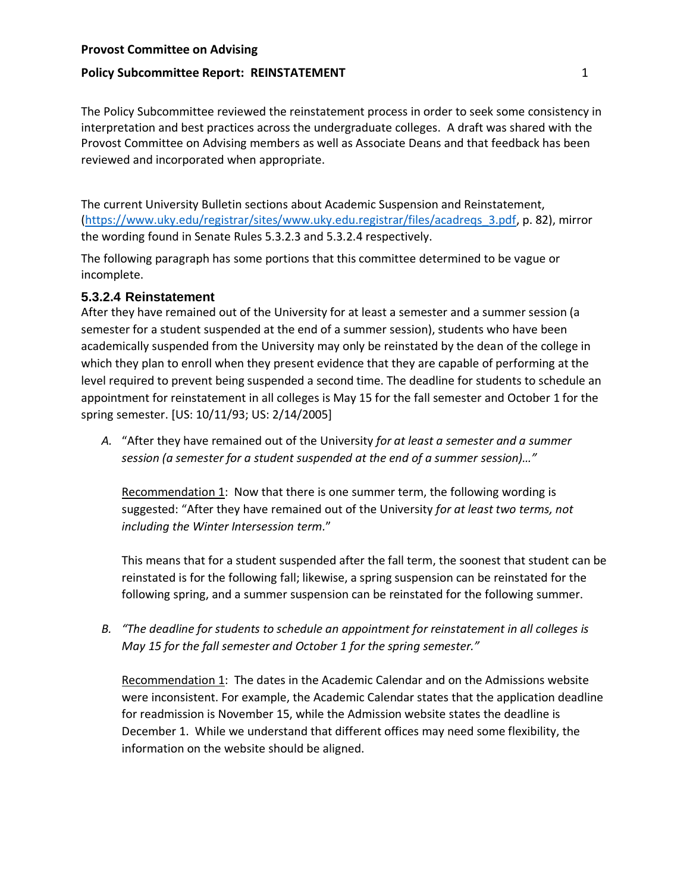### **Provost Committee on Advising**

### **Policy Subcommittee Report: REINSTATEMENT 1**

The Policy Subcommittee reviewed the reinstatement process in order to seek some consistency in interpretation and best practices across the undergraduate colleges. A draft was shared with the Provost Committee on Advising members as well as Associate Deans and that feedback has been reviewed and incorporated when appropriate.

The current University Bulletin sections about Academic Suspension and Reinstatement, [\(https://www.uky.edu/registrar/sites/www.uky.edu.registrar/files/acadreqs\\_3.pdf,](https://www.uky.edu/registrar/sites/www.uky.edu.registrar/files/acadreqs_3.pdf) p. 82), mirror the wording found in Senate Rules 5.3.2.3 and 5.3.2.4 respectively.

The following paragraph has some portions that this committee determined to be vague or incomplete.

### **5.3.2.4 Reinstatement**

After they have remained out of the University for at least a semester and a summer session (a semester for a student suspended at the end of a summer session), students who have been academically suspended from the University may only be reinstated by the dean of the college in which they plan to enroll when they present evidence that they are capable of performing at the level required to prevent being suspended a second time. The deadline for students to schedule an appointment for reinstatement in all colleges is May 15 for the fall semester and October 1 for the spring semester. [US: 10/11/93; US: 2/14/2005]

*A.* "After they have remained out of the University *for at least a semester and a summer session (a semester for a student suspended at the end of a summer session)…"*

Recommendation 1: Now that there is one summer term, the following wording is suggested: "After they have remained out of the University *for at least two terms, not including the Winter Intersession term.*"

This means that for a student suspended after the fall term, the soonest that student can be reinstated is for the following fall; likewise, a spring suspension can be reinstated for the following spring, and a summer suspension can be reinstated for the following summer.

*B. "The deadline for students to schedule an appointment for reinstatement in all colleges is May 15 for the fall semester and October 1 for the spring semester."*

Recommendation 1: The dates in the Academic Calendar and on the Admissions website were inconsistent. For example, the Academic Calendar states that the application deadline for readmission is November 15, while the Admission website states the deadline is December 1. While we understand that different offices may need some flexibility, the information on the website should be aligned.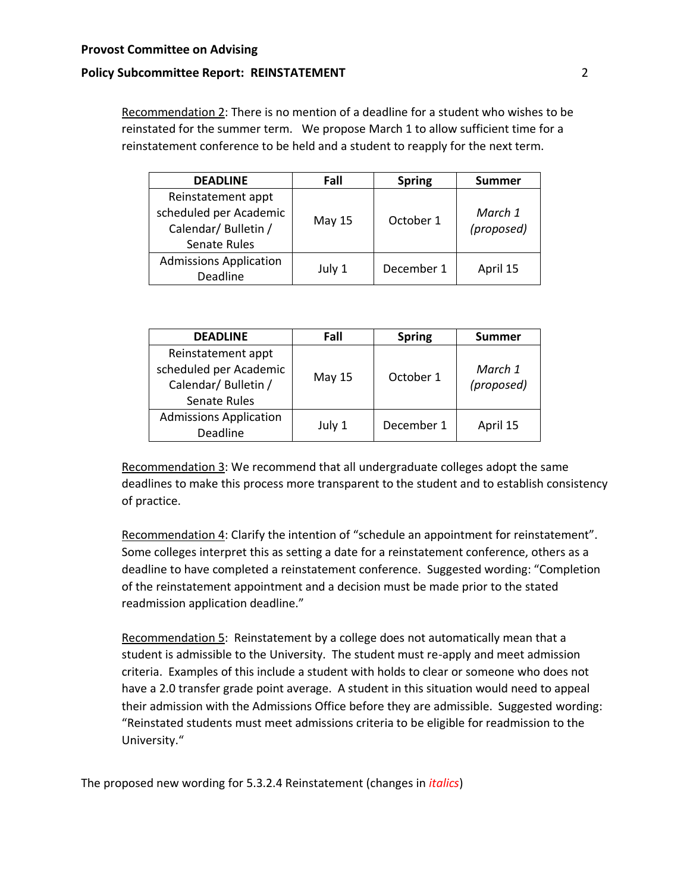#### **Provost Committee on Advising**

#### **Policy Subcommittee Report: REINSTATEMENT** 2

Recommendation 2: There is no mention of a deadline for a student who wishes to be reinstated for the summer term. We propose March 1 to allow sufficient time for a reinstatement conference to be held and a student to reapply for the next term.

| <b>DEADLINE</b>                                                                      | Fall   | <b>Spring</b> | <b>Summer</b>         |
|--------------------------------------------------------------------------------------|--------|---------------|-----------------------|
| Reinstatement appt<br>scheduled per Academic<br>Calendar/ Bulletin /<br>Senate Rules | May 15 | October 1     | March 1<br>(proposed) |
| <b>Admissions Application</b><br>Deadline                                            | July 1 | December 1    | April 15              |

| <b>DEADLINE</b>                                                                      | Fall   | <b>Spring</b> | <b>Summer</b>         |
|--------------------------------------------------------------------------------------|--------|---------------|-----------------------|
| Reinstatement appt<br>scheduled per Academic<br>Calendar/ Bulletin /<br>Senate Rules | May 15 | October 1     | March 1<br>(proposed) |
| <b>Admissions Application</b><br>Deadline                                            | July 1 | December 1    | April 15              |

Recommendation 3: We recommend that all undergraduate colleges adopt the same deadlines to make this process more transparent to the student and to establish consistency of practice.

Recommendation 4: Clarify the intention of "schedule an appointment for reinstatement". Some colleges interpret this as setting a date for a reinstatement conference, others as a deadline to have completed a reinstatement conference. Suggested wording: "Completion of the reinstatement appointment and a decision must be made prior to the stated readmission application deadline."

Recommendation 5: Reinstatement by a college does not automatically mean that a student is admissible to the University. The student must re-apply and meet admission criteria. Examples of this include a student with holds to clear or someone who does not have a 2.0 transfer grade point average. A student in this situation would need to appeal their admission with the Admissions Office before they are admissible. Suggested wording: "Reinstated students must meet admissions criteria to be eligible for readmission to the University."

The proposed new wording for 5.3.2.4 Reinstatement (changes in *italics*)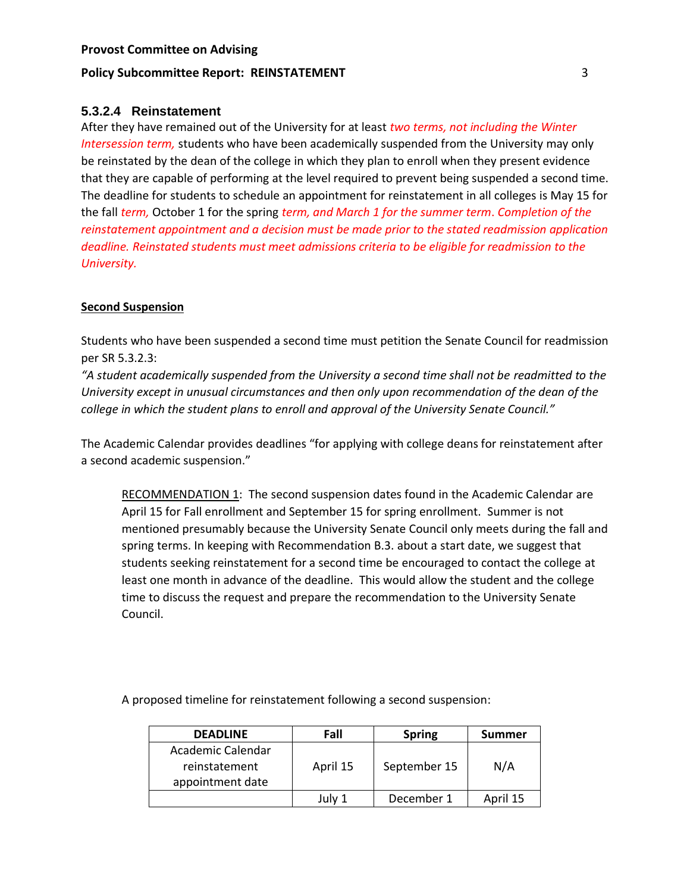## **Policy Subcommittee Report: REINSTATEMENT** 3

# **5.3.2.4 Reinstatement**

After they have remained out of the University for at least *two terms, not including the Winter Intersession term,* students who have been academically suspended from the University may only be reinstated by the dean of the college in which they plan to enroll when they present evidence that they are capable of performing at the level required to prevent being suspended a second time. The deadline for students to schedule an appointment for reinstatement in all colleges is May 15 for the fall *term,* October 1 for the spring *term, and March 1 for the summer term*. *Completion of the reinstatement appointment and a decision must be made prior to the stated readmission application deadline. Reinstated students must meet admissions criteria to be eligible for readmission to the University.* 

## **Second Suspension**

Students who have been suspended a second time must petition the Senate Council for readmission per SR 5.3.2.3:

*"A student academically suspended from the University a second time shall not be readmitted to the University except in unusual circumstances and then only upon recommendation of the dean of the college in which the student plans to enroll and approval of the University Senate Council."*

The Academic Calendar provides deadlines "for applying with college deans for reinstatement after a second academic suspension."

RECOMMENDATION 1: The second suspension dates found in the Academic Calendar are April 15 for Fall enrollment and September 15 for spring enrollment. Summer is not mentioned presumably because the University Senate Council only meets during the fall and spring terms. In keeping with Recommendation B.3. about a start date, we suggest that students seeking reinstatement for a second time be encouraged to contact the college at least one month in advance of the deadline. This would allow the student and the college time to discuss the request and prepare the recommendation to the University Senate Council.

A proposed timeline for reinstatement following a second suspension:

| <b>DEADLINE</b>                                        | Fall     | <b>Spring</b> | Summer   |
|--------------------------------------------------------|----------|---------------|----------|
| Academic Calendar<br>reinstatement<br>appointment date | April 15 | September 15  | N/A      |
|                                                        | July 1   | December 1    | April 15 |